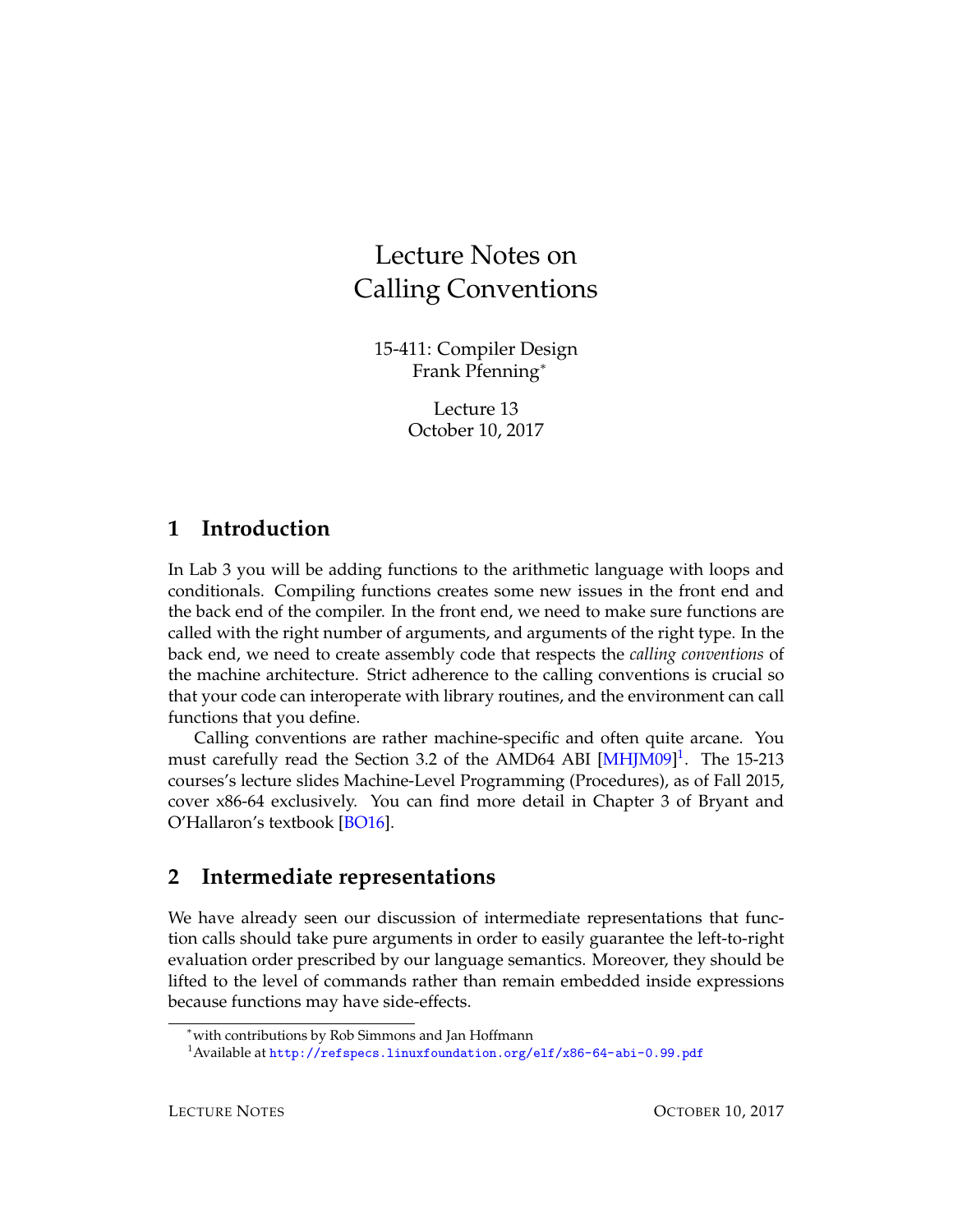# Lecture Notes on Calling Conventions

15-411: Compiler Design Frank Pfenning<sup>∗</sup>

> Lecture 13 October 10, 2017

#### **1 Introduction**

In Lab 3 you will be adding functions to the arithmetic language with loops and conditionals. Compiling functions creates some new issues in the front end and the back end of the compiler. In the front end, we need to make sure functions are called with the right number of arguments, and arguments of the right type. In the back end, we need to create assembly code that respects the *calling conventions* of the machine architecture. Strict adherence to the calling conventions is crucial so that your code can interoperate with library routines, and the environment can call functions that you define.

Calling conventions are rather machine-specific and often quite arcane. You must carefully read the Section 3.2 of the AMD64 ABI [\[MHJM09\]](#page-11-0)<sup>[1](#page-0-0)</sup>. The 15-213 courses's lecture slides Machine-Level Programming (Procedures), as of Fall 2015, cover x86-64 exclusively. You can find more detail in Chapter 3 of Bryant and O'Hallaron's textbook [\[BO16\]](#page-11-1).

### **2 Intermediate representations**

We have already seen our discussion of intermediate representations that function calls should take pure arguments in order to easily guarantee the left-to-right evaluation order prescribed by our language semantics. Moreover, they should be lifted to the level of commands rather than remain embedded inside expressions because functions may have side-effects.

<sup>∗</sup>with contributions by Rob Simmons and Jan Hoffmann

<span id="page-0-0"></span><sup>&</sup>lt;sup>1</sup>Available at <http://refspecs.linuxfoundation.org/elf/x86-64-abi-0.99.pdf>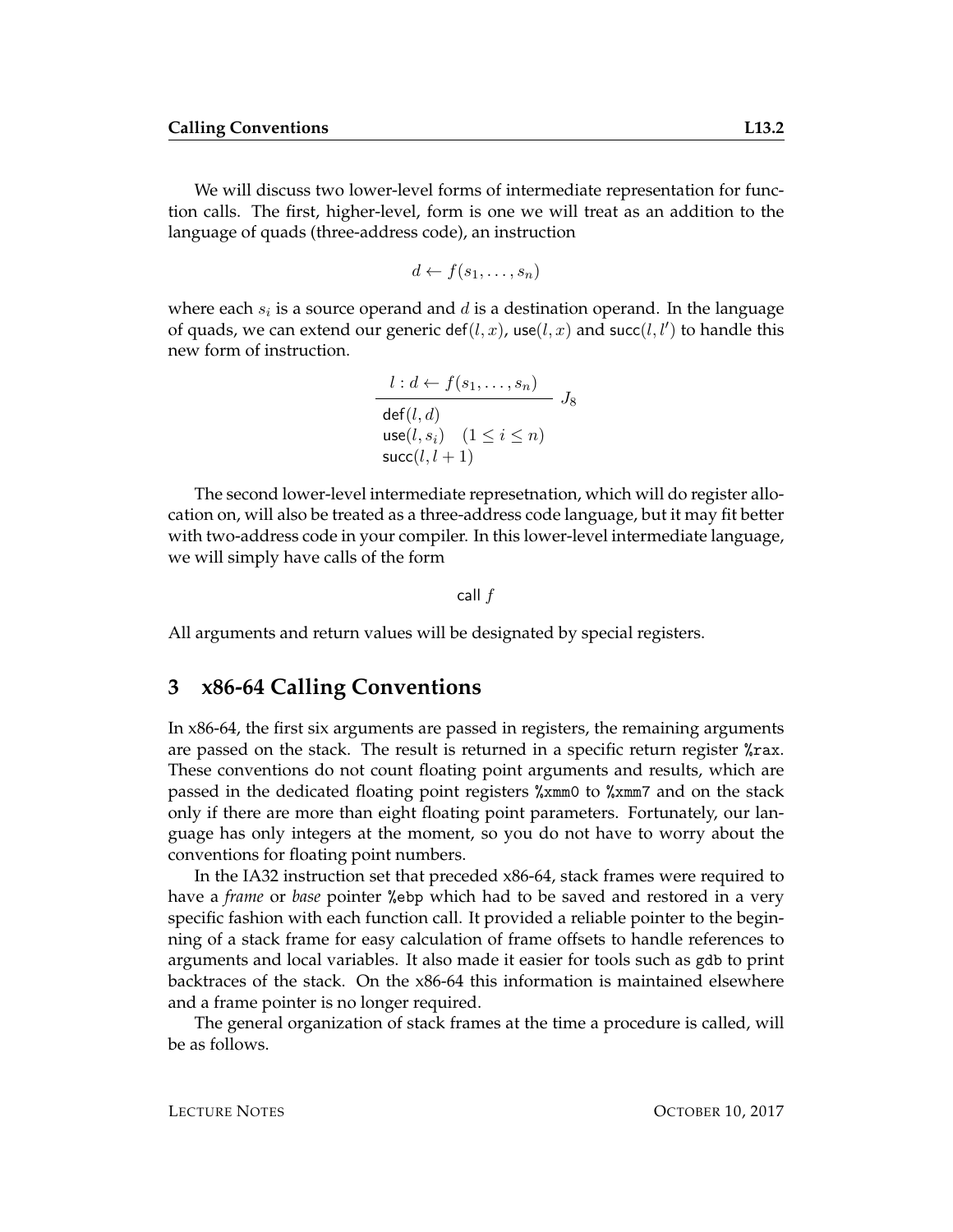We will discuss two lower-level forms of intermediate representation for function calls. The first, higher-level, form is one we will treat as an addition to the language of quads (three-address code), an instruction

$$
d \leftarrow f(s_1, \ldots, s_n)
$$

where each  $s_i$  is a source operand and  $d$  is a destination operand. In the language of quads, we can extend our generic def $(l, x)$ , use $(l, x)$  and succ $(l, l')$  to handle this new form of instruction.

$$
\frac{l: d \leftarrow f(s_1, \dots, s_n)}{\text{def}(l, d)} \quad J_8
$$
  
use $(l, s_i)$   $(1 \le i \le n)$   
succ $(l, l + 1)$ 

The second lower-level intermediate represetnation, which will do register allocation on, will also be treated as a three-address code language, but it may fit better with two-address code in your compiler. In this lower-level intermediate language, we will simply have calls of the form

call f

All arguments and return values will be designated by special registers.

#### **3 x86-64 Calling Conventions**

In x86-64, the first six arguments are passed in registers, the remaining arguments are passed on the stack. The result is returned in a specific return register %rax. These conventions do not count floating point arguments and results, which are passed in the dedicated floating point registers %xmm0 to %xmm7 and on the stack only if there are more than eight floating point parameters. Fortunately, our language has only integers at the moment, so you do not have to worry about the conventions for floating point numbers.

In the IA32 instruction set that preceded x86-64, stack frames were required to have a *frame* or *base* pointer %ebp which had to be saved and restored in a very specific fashion with each function call. It provided a reliable pointer to the beginning of a stack frame for easy calculation of frame offsets to handle references to arguments and local variables. It also made it easier for tools such as gdb to print backtraces of the stack. On the x86-64 this information is maintained elsewhere and a frame pointer is no longer required.

The general organization of stack frames at the time a procedure is called, will be as follows.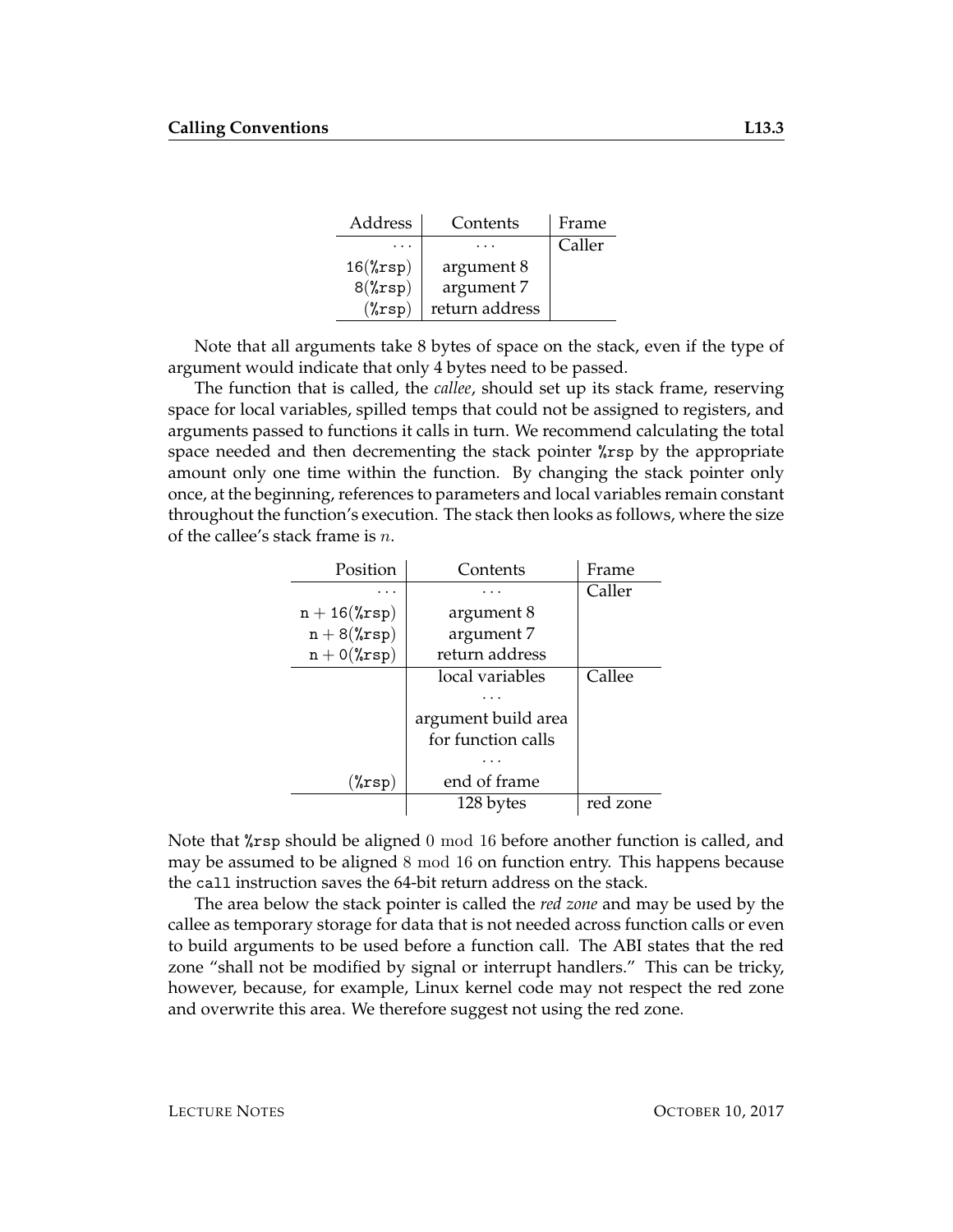| Address            | Contents       | Frame  |
|--------------------|----------------|--------|
|                    |                | Caller |
| $16(\text{``rsp})$ | argument 8     |        |
| $8(\text{``rsp})$  | argument 7     |        |
| $(\sqrt[n]{rsp})$  | return address |        |

Note that all arguments take 8 bytes of space on the stack, even if the type of argument would indicate that only 4 bytes need to be passed.

The function that is called, the *callee*, should set up its stack frame, reserving space for local variables, spilled temps that could not be assigned to registers, and arguments passed to functions it calls in turn. We recommend calculating the total space needed and then decrementing the stack pointer %rsp by the appropriate amount only one time within the function. By changing the stack pointer only once, at the beginning, references to parameters and local variables remain constant throughout the function's execution. The stack then looks as follows, where the size of the callee's stack frame is  $n$ .

| Position             | Contents            | Frame    |
|----------------------|---------------------|----------|
|                      |                     | Caller   |
| $n + 16$ (% $rsp$ )  | argument 8          |          |
| $n + 8$ (% $rsp$ )   | argument 7          |          |
| $n + O(\text{Trsp})$ | return address      |          |
|                      | local variables     | Callee   |
|                      |                     |          |
|                      | argument build area |          |
|                      | for function calls  |          |
|                      |                     |          |
| $(\% \text{rsp})$    | end of frame        |          |
|                      | 128 bytes           | red zone |

Note that  $\chi$ rsp should be aligned 0 mod 16 before another function is called, and may be assumed to be aligned 8 mod 16 on function entry. This happens because the call instruction saves the 64-bit return address on the stack.

The area below the stack pointer is called the *red zone* and may be used by the callee as temporary storage for data that is not needed across function calls or even to build arguments to be used before a function call. The ABI states that the red zone "shall not be modified by signal or interrupt handlers." This can be tricky, however, because, for example, Linux kernel code may not respect the red zone and overwrite this area. We therefore suggest not using the red zone.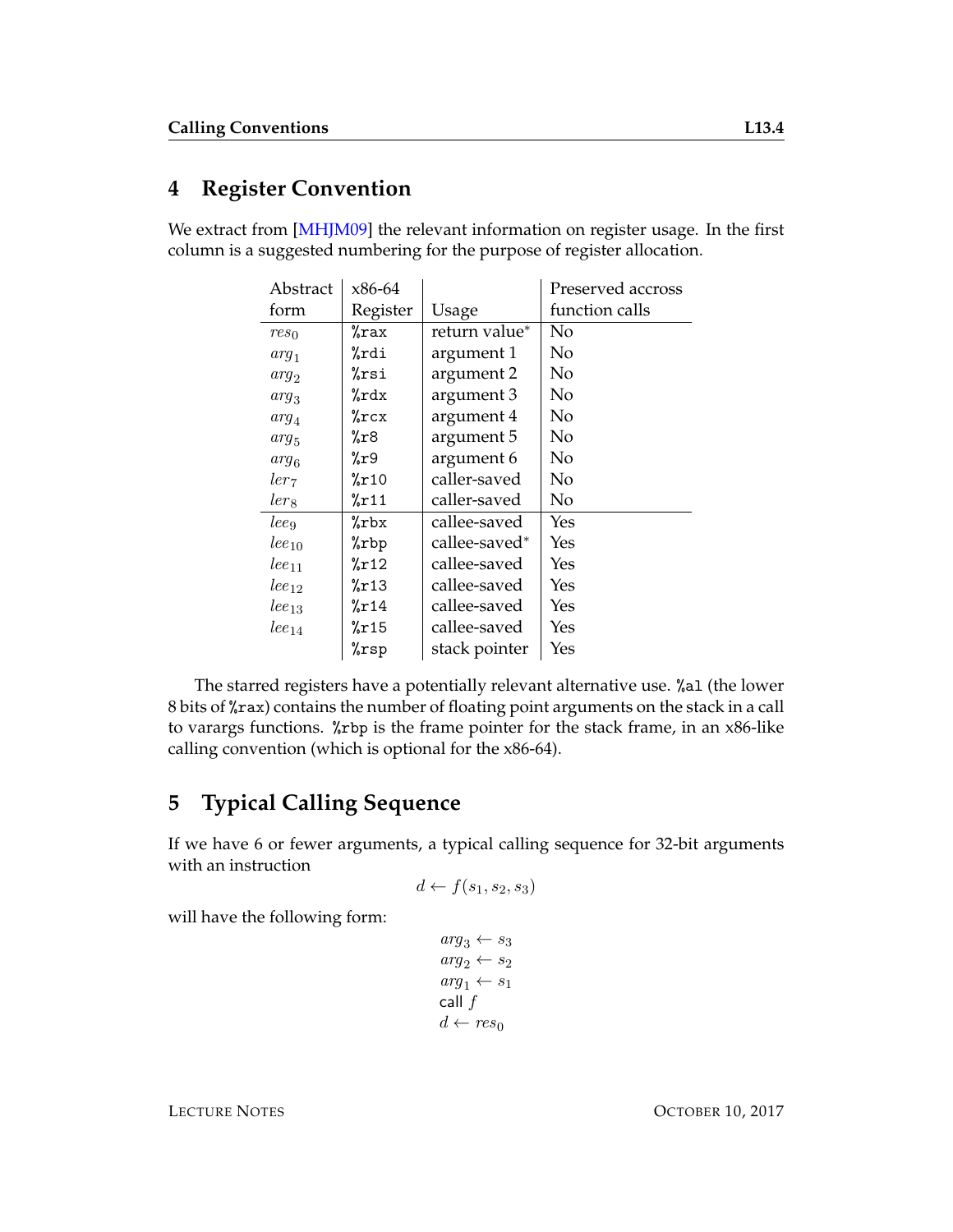## **4 Register Convention**

We extract from [\[MHJM09\]](#page-11-0) the relevant information on register usage. In the first column is a suggested numbering for the purpose of register allocation.

| Abstract             | x86-64   |               | Preserved accross |
|----------------------|----------|---------------|-------------------|
| form                 | Register | Usage         | function calls    |
| $res_0$              | %rax     | return value* | No                |
| $arg_1$              | %rdi     | argument 1    | No                |
| $arg_2$              | %rsi     | argument 2    | No                |
| $arg_3$              | %rdx     | argument 3    | No                |
| $arg_4$              | %rcx     | argument 4    | No                |
| $arg_5$              | %r8      | argument 5    | No                |
| $arg_6$              | %r9      | argument 6    | No                |
| ler <sub>7</sub>     | %r10     | caller-saved  | No                |
| lers                 | %r11     | caller-saved  | No                |
| leeg                 | %rbx     | callee-saved  | Yes               |
| $lee_{10}$           | %rbp     | callee-saved* | Yes               |
| $lee_{11}$           | %r12     | callee-saved  | Yes               |
| $_{\text{leq}_{12}}$ | %r13     | callee-saved  | Yes               |
| $_{leg13}$           | %r14     | callee-saved  | Yes               |
| $_{\text{leq}_{14}}$ | %r15     | callee-saved  | Yes               |
|                      | %rsp     | stack pointer | Yes               |

The starred registers have a potentially relevant alternative use. %al (the lower 8 bits of %rax) contains the number of floating point arguments on the stack in a call to varargs functions. %rbp is the frame pointer for the stack frame, in an x86-like calling convention (which is optional for the x86-64).

## <span id="page-3-0"></span>**5 Typical Calling Sequence**

If we have 6 or fewer arguments, a typical calling sequence for 32-bit arguments with an instruction

$$
d \leftarrow f(s_1, s_2, s_3)
$$

will have the following form:

```
arg_3 \leftarrow s_3\arg_2 \leftarrow s_2arg_1 \leftarrow s_1call fd \leftarrow res_0
```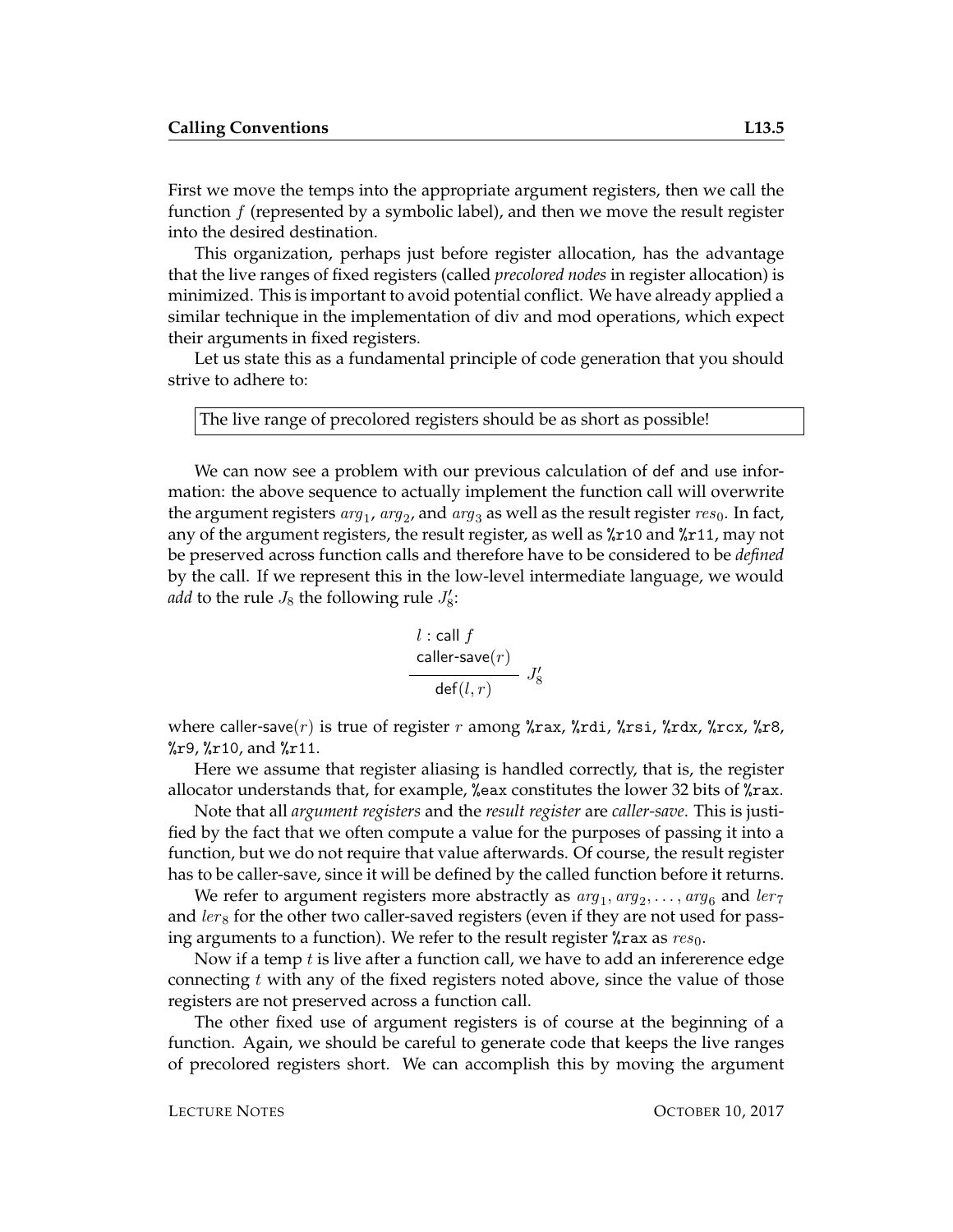First we move the temps into the appropriate argument registers, then we call the function  $f$  (represented by a symbolic label), and then we move the result register into the desired destination.

This organization, perhaps just before register allocation, has the advantage that the live ranges of fixed registers (called *precolored nodes* in register allocation) is minimized. This is important to avoid potential conflict. We have already applied a similar technique in the implementation of div and mod operations, which expect their arguments in fixed registers.

Let us state this as a fundamental principle of code generation that you should strive to adhere to:

The live range of precolored registers should be as short as possible!

We can now see a problem with our previous calculation of def and use information: the above sequence to actually implement the function call will overwrite the argument registers  $\arg_1$ ,  $\arg_2$ , and  $\arg_3$  as well as the result register  $res_0$ . In fact, any of the argument registers, the result register, as well as %r10 and %r11, may not be preserved across function calls and therefore have to be considered to be *defined* by the call. If we represent this in the low-level intermediate language, we would *add* to the rule  $J_8$  the following rule  $J'_8$ :

$$
\begin{array}{c} l:{\mathsf{call}}\,f\\ \dfrac{{\mathsf{caller}}\, {\mathsf{save}}(r)}{{\mathsf{def}}(l,r)} \,\,\, J_8' \end{array}
$$

where caller-save(r) is true of register r among  $\lambda$ rax,  $\lambda$ rdi,  $\lambda$ rsi,  $\lambda$ rdx,  $\lambda$ rcx,  $\lambda$ r8,  $\chi$ r9,  $\chi$ r10, and  $\chi$ r11.

Here we assume that register aliasing is handled correctly, that is, the register allocator understands that, for example, %eax constitutes the lower 32 bits of %rax.

Note that all *argument registers* and the *result register* are *caller-save*. This is justified by the fact that we often compute a value for the purposes of passing it into a function, but we do not require that value afterwards. Of course, the result register has to be caller-save, since it will be defined by the called function before it returns.

We refer to argument registers more abstractly as  $\arg_1, \arg_2, \dots, \arg_6$  and  $\ker_7$ and  $lers$  for the other two caller-saved registers (even if they are not used for passing arguments to a function). We refer to the result register  $\chi$ rax as  $res_0$ .

Now if a temp  $t$  is live after a function call, we have to add an infererence edge connecting t with any of the fixed registers noted above, since the value of those registers are not preserved across a function call.

The other fixed use of argument registers is of course at the beginning of a function. Again, we should be careful to generate code that keeps the live ranges of precolored registers short. We can accomplish this by moving the argument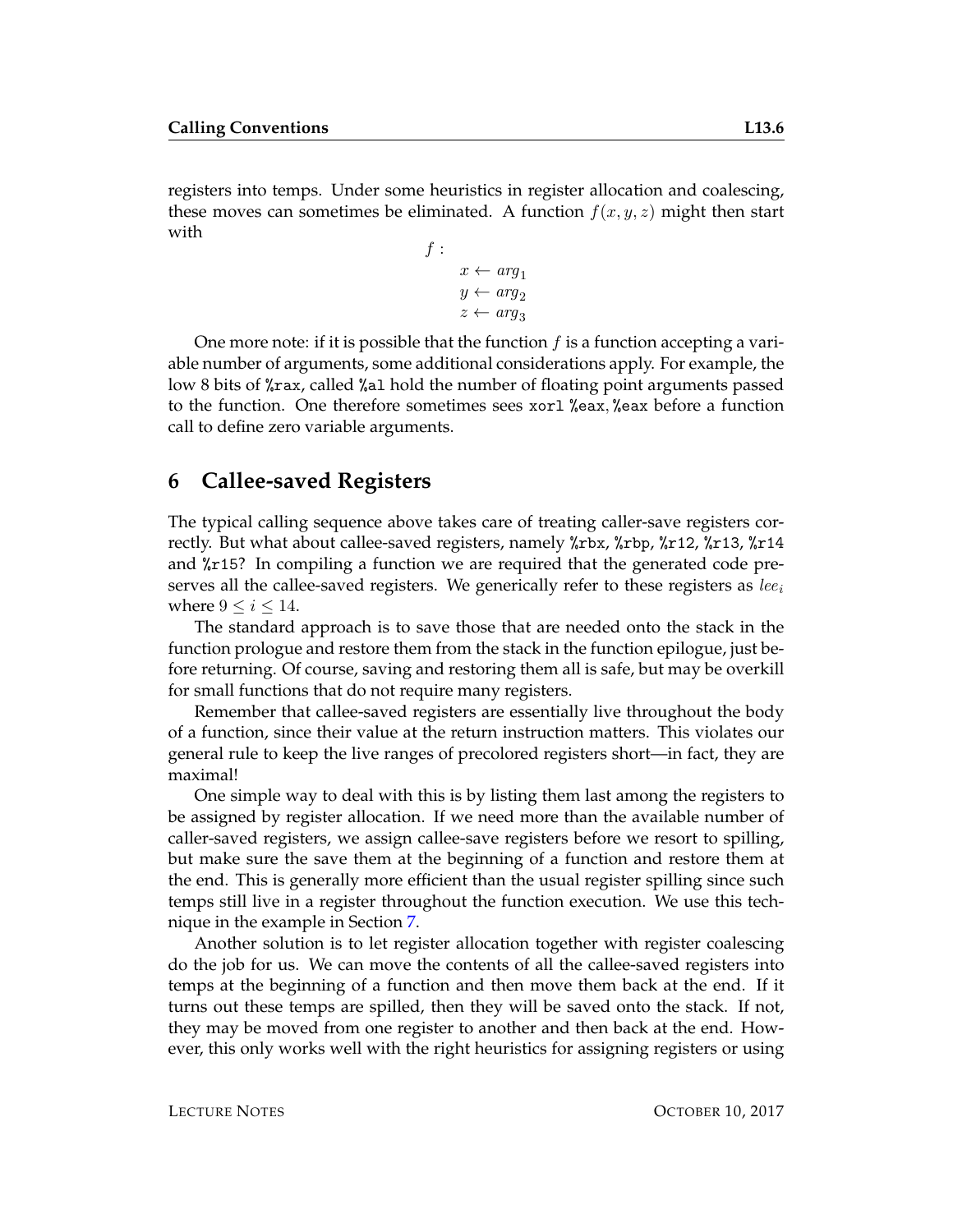registers into temps. Under some heuristics in register allocation and coalescing, these moves can sometimes be eliminated. A function  $f(x, y, z)$  might then start with

$$
f: \begin{aligned} x &\leftarrow arg_1 \\ y &\leftarrow arg_2 \\ z &\leftarrow arg_3 \end{aligned}
$$

One more note: if it is possible that the function  $f$  is a function accepting a variable number of arguments, some additional considerations apply. For example, the low 8 bits of %rax, called %al hold the number of floating point arguments passed to the function. One therefore sometimes sees xorl %eax, %eax before a function call to define zero variable arguments.

#### **6 Callee-saved Registers**

The typical calling sequence above takes care of treating caller-save registers correctly. But what about callee-saved registers, namely %rbx, %rbp, %r12, %r13, %r14 and %r15? In compiling a function we are required that the generated code preserves all the callee-saved registers. We generically refer to these registers as  $le_{i}$ where  $9 \leq i \leq 14$ .

The standard approach is to save those that are needed onto the stack in the function prologue and restore them from the stack in the function epilogue, just before returning. Of course, saving and restoring them all is safe, but may be overkill for small functions that do not require many registers.

Remember that callee-saved registers are essentially live throughout the body of a function, since their value at the return instruction matters. This violates our general rule to keep the live ranges of precolored registers short—in fact, they are maximal!

One simple way to deal with this is by listing them last among the registers to be assigned by register allocation. If we need more than the available number of caller-saved registers, we assign callee-save registers before we resort to spilling, but make sure the save them at the beginning of a function and restore them at the end. This is generally more efficient than the usual register spilling since such temps still live in a register throughout the function execution. We use this technique in the example in Section [7.](#page-6-0)

Another solution is to let register allocation together with register coalescing do the job for us. We can move the contents of all the callee-saved registers into temps at the beginning of a function and then move them back at the end. If it turns out these temps are spilled, then they will be saved onto the stack. If not, they may be moved from one register to another and then back at the end. However, this only works well with the right heuristics for assigning registers or using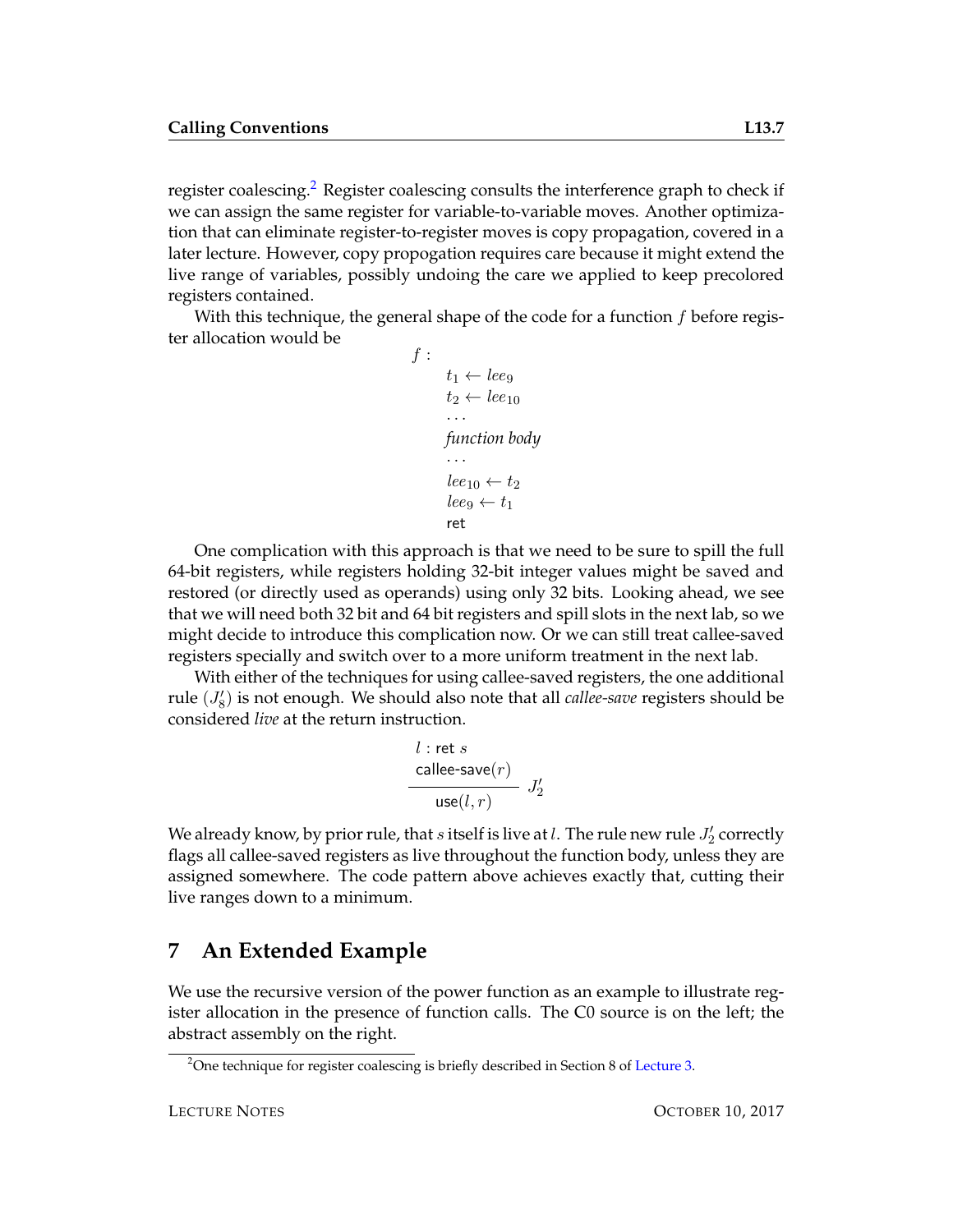register coalescing.<sup>[2](#page-6-1)</sup> Register coalescing consults the interference graph to check if we can assign the same register for variable-to-variable moves. Another optimization that can eliminate register-to-register moves is copy propagation, covered in a later lecture. However, copy propogation requires care because it might extend the live range of variables, possibly undoing the care we applied to keep precolored registers contained.

With this technique, the general shape of the code for a function  $f$  before register allocation would be

```
f :
        t_1 \leftarrow lee_9t_2 \leftarrow lee_{10}· · ·
        function body
         · · ·
        lee_{10} \leftarrow t_2leeg \leftarrow t_1ret
```
One complication with this approach is that we need to be sure to spill the full 64-bit registers, while registers holding 32-bit integer values might be saved and restored (or directly used as operands) using only 32 bits. Looking ahead, we see that we will need both 32 bit and 64 bit registers and spill slots in the next lab, so we might decide to introduce this complication now. Or we can still treat callee-saved registers specially and switch over to a more uniform treatment in the next lab.

With either of the techniques for using callee-saved registers, the one additional rule  $(J'_8)$  is not enough. We should also note that all *callee-save* registers should be considered *live* at the return instruction.

$$
\begin{array}{c} l:\mathsf{ret}\ s \\ \begin{array}{c} \mathsf{callee\text{-}save}(r) \\ \textsf{use}(l,r) \end{array} \end{array} J_2'
$$

We already know, by prior rule, that  $s$  itself is live at  $l$  . The rule new rule  $J_2'$  correctly flags all callee-saved registers as live throughout the function body, unless they are assigned somewhere. The code pattern above achieves exactly that, cutting their live ranges down to a minimum.

### <span id="page-6-0"></span>**7 An Extended Example**

We use the recursive version of the power function as an example to illustrate register allocation in the presence of function calls. The C0 source is on the left; the abstract assembly on the right.

<span id="page-6-1"></span><sup>&</sup>lt;sup>2</sup>One technique for register coalescing is briefly described in Section 8 of [Lecture 3.](http://www.cs.cmu.edu/~fp/courses/15411-f13/lectures/03-regalloc.pdf)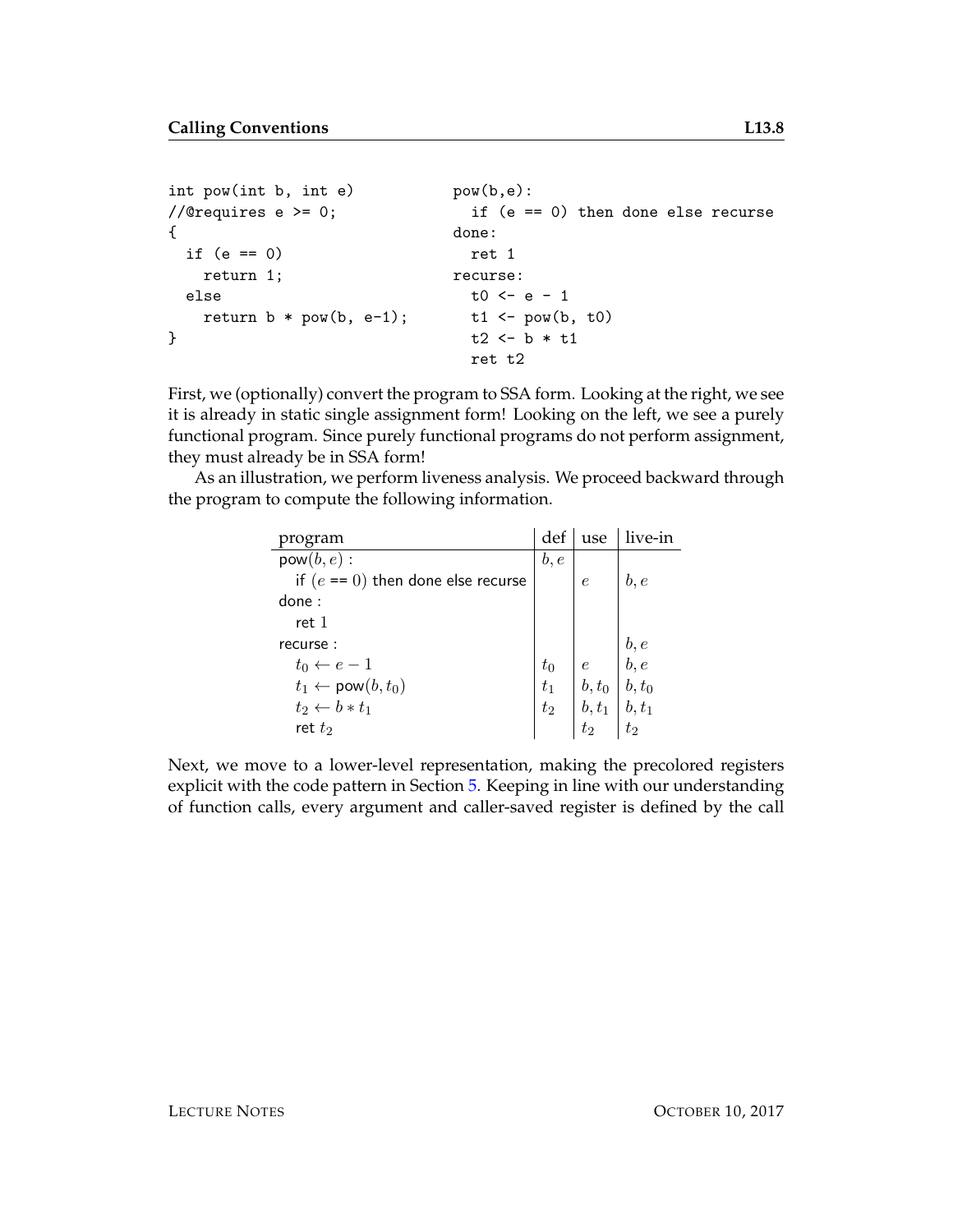```
int pow(int b, int e) pow(b,e):
//@requires e >= 0; if (e == 0) then done else recurse
\{ done:
 if (e == 0) ret 1
  return 1; recurse:
 else t0 < -e - 1return b * pow(b, e-1); t1 <- pow(b, t0)} t2 <- b * t1
                   ret t2
```
First, we (optionally) convert the program to SSA form. Looking at the right, we see it is already in static single assignment form! Looking on the left, we see a purely functional program. Since purely functional programs do not perform assignment, they must already be in SSA form!

As an illustration, we perform liveness analysis. We proceed backward through the program to compute the following information.

| program                              | def  | use                                                                                                               | live-in |
|--------------------------------------|------|-------------------------------------------------------------------------------------------------------------------|---------|
| $pow(b, e)$ :                        | b, e |                                                                                                                   |         |
| if $(e == 0)$ then done else recurse |      | $\epsilon$                                                                                                        | b, e    |
| done:                                |      |                                                                                                                   |         |
| ret 1                                |      |                                                                                                                   |         |
| recurse:                             |      |                                                                                                                   |         |
| $t_0 \leftarrow e-1$                 |      |                                                                                                                   |         |
| $t_1 \leftarrow \text{pow}(b, t_0)$  |      |                                                                                                                   |         |
| $t_2 \leftarrow b * t_1$             |      |                                                                                                                   |         |
| ret $t_2$                            |      | $\begin{array}{c c} t_0 & e & b, e \ t_1 & b, t_0 & b, t_0 \ t_2 & b, t_1 & b, t_1 \ t_2 & t_2 & t_2 \end{array}$ |         |

Next, we move to a lower-level representation, making the precolored registers explicit with the code pattern in Section [5.](#page-3-0) Keeping in line with our understanding of function calls, every argument and caller-saved register is defined by the call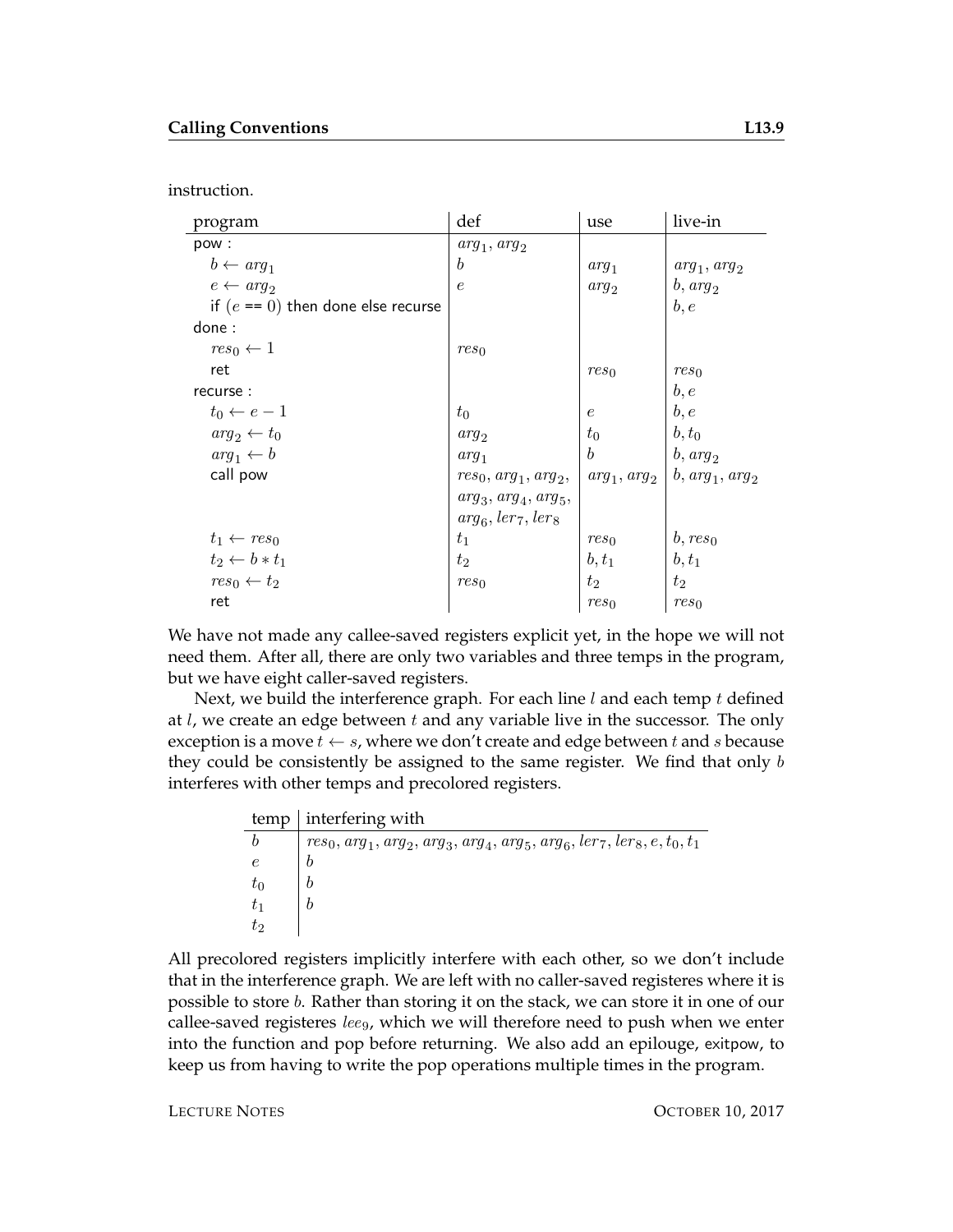instruction.

| program                              | def                    | use              | live-in           |
|--------------------------------------|------------------------|------------------|-------------------|
| pow:                                 | $arg_1, arg_2$         |                  |                   |
| $b \leftarrow arg_1$                 | b                      | $arg_1$          | $arg_1, arg_2$    |
| $e \leftarrow a r q_2$               | $\epsilon$             | $arg_2$          | $b, arg_2$        |
| if $(e == 0)$ then done else recurse |                        |                  | b, e              |
| done:                                |                        |                  |                   |
| $res_0 \leftarrow 1$                 | res <sub>0</sub>       |                  |                   |
| ret                                  |                        | res <sub>0</sub> | res <sub>0</sub>  |
| recurse:                             |                        |                  | b, e              |
| $t_0 \leftarrow e-1$                 | $t_0$                  | $\epsilon$       | b, e              |
| $arg_2 \leftarrow t_0$               | $arg_2$                | $t_0$            | $b, t_0$          |
| $arg_1 \leftarrow b$                 | $arg_1$                | $\boldsymbol{b}$ | $b, arg_2$        |
| call pow                             | $res_0, arg_1, arg_2,$ | $arg_1, arg_2$   | $b, arg_1, arg_2$ |
|                                      | $arg_3, arg_4, arg_5,$ |                  |                   |
|                                      | $arg_6, ler_7, ler_8$  |                  |                   |
| $t_1 \leftarrow res_0$               | $t_1$                  | res <sub>0</sub> | $b, res_0$        |
| $t_2 \leftarrow b * t_1$             | $t_2$                  | $b, t_1$         | $b, t_1$          |
| $res_0 \leftarrow t_2$               | res <sub>0</sub>       | $t_2$            | $t_2$             |
| ret                                  |                        | $res_0$          | res <sub>0</sub>  |

We have not made any callee-saved registers explicit yet, in the hope we will not need them. After all, there are only two variables and three temps in the program, but we have eight caller-saved registers.

Next, we build the interference graph. For each line  $l$  and each temp  $t$  defined at  $l$ , we create an edge between  $t$  and any variable live in the successor. The only exception is a move  $t \leftarrow s$ , where we don't create and edge between t and s because they could be consistently be assigned to the same register. We find that only b interferes with other temps and precolored registers.

|       | $temp$ interfering with                                                      |
|-------|------------------------------------------------------------------------------|
|       | $res_0, arg_1, arg_2, arg_3, arg_4, arg_5, arg_6, ler_7, ler_8, e, t_0, t_1$ |
|       |                                                                              |
| $t_0$ |                                                                              |
|       |                                                                              |
| tэ    |                                                                              |

All precolored registers implicitly interfere with each other, so we don't include that in the interference graph. We are left with no caller-saved registeres where it is possible to store b. Rather than storing it on the stack, we can store it in one of our callee-saved registeres  $le_{9}$ , which we will therefore need to push when we enter into the function and pop before returning. We also add an epilouge, exitpow, to keep us from having to write the pop operations multiple times in the program.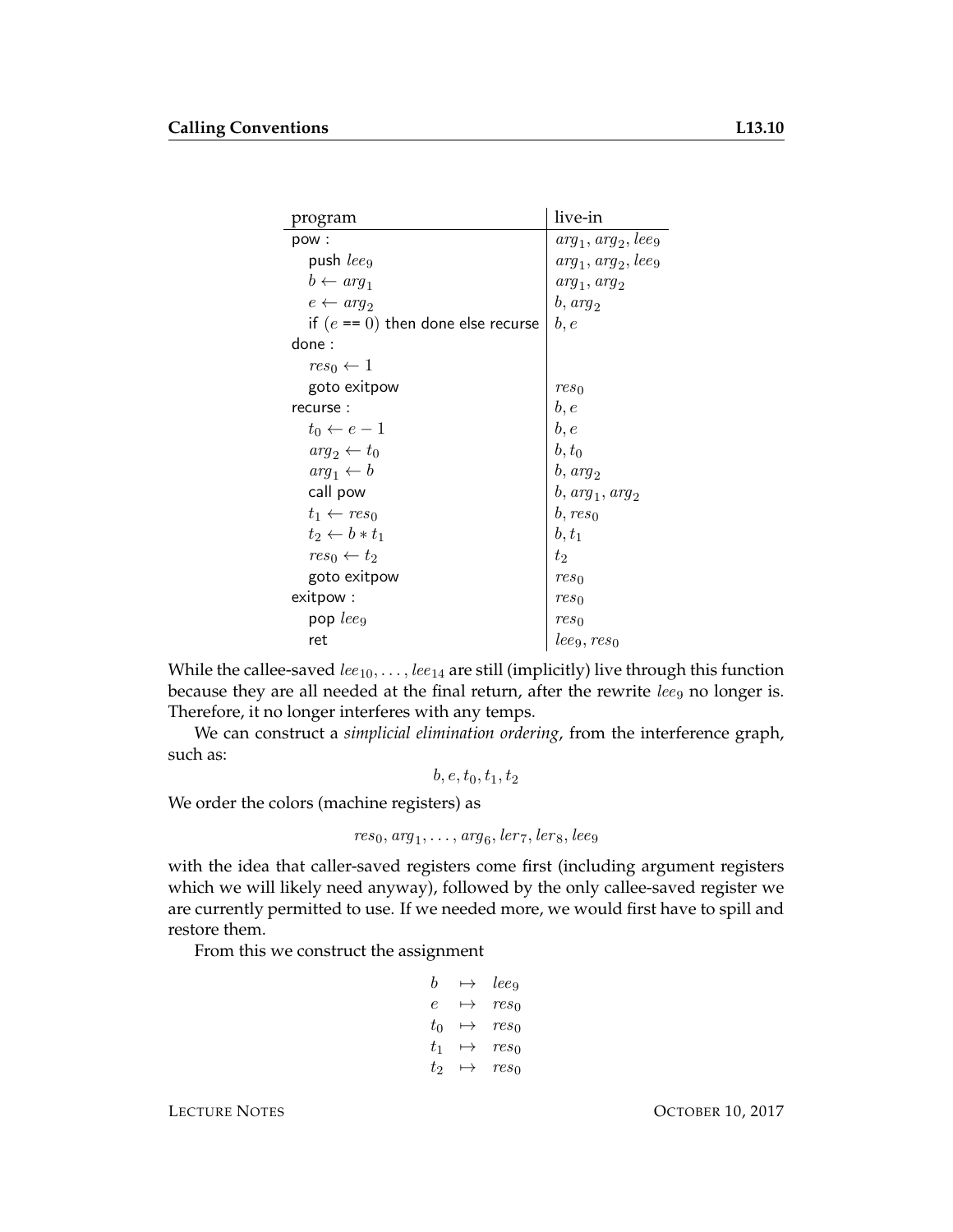| program                              | live-in               |
|--------------------------------------|-----------------------|
| pow:                                 | $arg_1, arg_2, leeg$  |
| push leeg                            | $arg_1, arg_2, lee_9$ |
| $b \leftarrow arg_1$                 | $arg_1, arg_2$        |
| $e \leftarrow arg_2$                 | $b, arg_2$            |
| if $(e == 0)$ then done else recurse | b, e                  |
| done:                                |                       |
| $res_0 \leftarrow 1$                 |                       |
| goto exitpow                         | res <sub>0</sub>      |
| recurse:                             | b,e                   |
| $t_0 \leftarrow e-1$                 | b, e                  |
| $arg_2 \leftarrow t_0$               | $b, t_0$              |
| $arg_1 \leftarrow b$                 | $b, arg_2$            |
| call pow                             | $b, arg_1, arg_2$     |
| $t_1 \leftarrow res_0$               | $b, res_0$            |
| $t_2 \leftarrow b * t_1$             | $b, t_1$              |
| $res_0 \leftarrow t_2$               | $t_2$                 |
| goto exitpow                         | res <sub>0</sub>      |
| exitpow:                             | res <sub>0</sub>      |
| pop $leq_9$                          | res <sub>0</sub>      |
| ret                                  | $_{leg, res_0}$       |

While the callee-saved  $le_{10}, \ldots, le_{14}$  are still (implicitly) live through this function because they are all needed at the final return, after the rewrite  $le_{9}$  no longer is. Therefore, it no longer interferes with any temps.

We can construct a *simplicial elimination ordering*, from the interference graph, such as:

 $b, e, t_0, t_1, t_2$ 

We order the colors (machine registers) as

$$
res_0, arg_1, \ldots, arg_6, ler_7, ler_8, lee_9
$$

with the idea that caller-saved registers come first (including argument registers which we will likely need anyway), followed by the only callee-saved register we are currently permitted to use. If we needed more, we would first have to spill and restore them.

From this we construct the assignment

| b       | $\mapsto$ | leeg             |
|---------|-----------|------------------|
| e       | $\mapsto$ | $res_0$          |
| $t_0$   | $\mapsto$ | res <sub>0</sub> |
| $t_{1}$ | $\mapsto$ | $res_0$          |
| $t_2$   | $\mapsto$ | $res_0$          |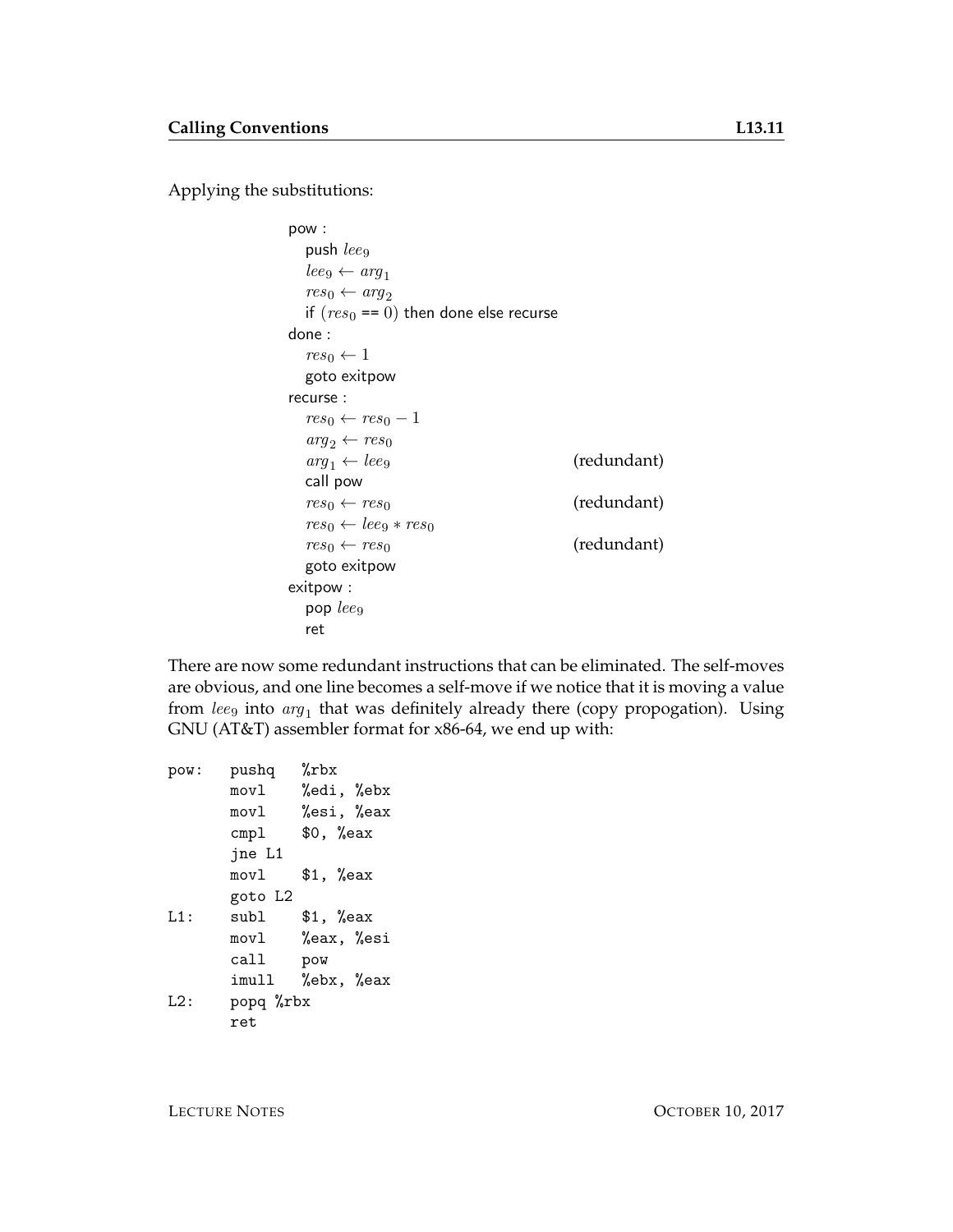Applying the substitutions:

```
pow :
  push leq_9\textit{lee}_9 \leftarrow \textit{arg}_1res_0 \leftarrow arg_2if (res_0 == 0) then done else recurse
done :
  res_0 \leftarrow 1goto exitpow
recurse :
  res_0 \leftarrow res_0 - 1arg_2 \leftarrow res_0arg_1 \leftarrow lee_9 (redundant)
  call pow
  res_0 \leftarrow res_0 (redundant)
  res_0 \leftarrow leeg + res_0res_0 \leftarrow res_0 (redundant)
  goto exitpow
exitpow :
  pop leq_9ret
```
There are now some redundant instructions that can be eliminated. The self-moves are obvious, and one line becomes a self-move if we notice that it is moving a value from  $leeg$  into  $arg_1$  that was definitely already there (copy propogation). Using GNU (AT&T) assembler format for x86-64, we end up with:

```
pow: pushq %rbx
      movl %edi, %ebx
      movl %esi, %eax
      cmpl $0, %eax
      jne L1
      movl $1, %eax
      goto L2
L1: subl $1, %eax
      movl %eax, %esi
      call pow
      imull %ebx, %eax
L2: popq %rbx
      ret
```